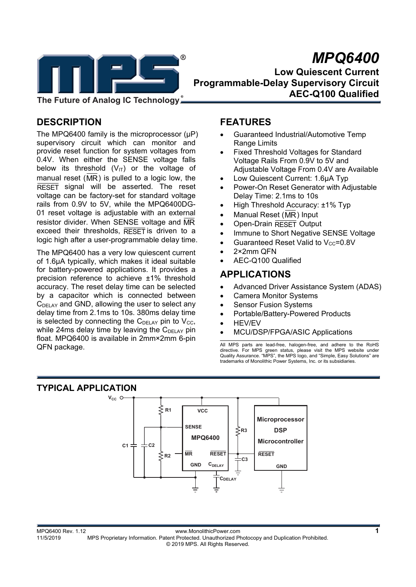

**The Future of Analog IC Technology**

# **DESCRIPTION**

The MPQ6400 family is the microprocessor (µP) supervisory circuit which can monitor and provide reset function for system voltages from 0.4V. When either the SENSE voltage falls below its threshold  $(V_{1T})$  or the voltage of manual reset  $(MR)$  is pulled to a logic low, the  $R\overline{\text{ESET}}$  signal will be asserted. The reset voltage can be factory-set for standard voltage rails from 0.9V to 5V, while the MPQ6400DG-01 reset voltage is adjustable with an external resistor divider. When SENSE voltage and MR exceed their thresholds,  $R\overline{\text{ESET}}$  is driven to a logic high after a user-programmable delay time.

The MPQ6400 has a very low quiescent current of 1.6μA typically, which makes it ideal suitable for battery-powered applications. It provides a precision reference to achieve ±1% threshold accuracy. The reset delay time can be selected by a capacitor which is connected between  $C_{\text{DELAY}}$  and GND, allowing the user to select any delay time from 2.1ms to 10s. 380ms delay time is selected by connecting the  $C_{DELAY}$  pin to  $V_{CC}$ , while 24ms delay time by leaving the  $C_{\text{DELAY}}$  pin float. MPQ6400 is available in 2mm×2mm 6-pin QFN package.

# **FEATURES**

- Guaranteed Industrial/Automotive Temp Range Limits
- Fixed Threshold Voltages for Standard Voltage Rails From 0.9V to 5V and Adjustable Voltage From 0.4V are Available
- Low Quiescent Current: 1.6μA Typ
- Power-On Reset Generator with Adjustable Delay Time: 2.1ms to 10s
- High Threshold Accuracy: ±1% Typ
- Manual Reset (MR) Input
- Open-Drain RESET Output
- Immune to Short Negative SENSE Voltage
- Guaranteed Reset Valid to  $V_{CC}=0.8V$
- 2×2mm QFN
- AEC-Q100 Qualified

# **APPLICATIONS**

- Advanced Driver Assistance System (ADAS)
- Camera Monitor Systems
- Sensor Fusion Systems
- Portable/Battery-Powered Products
- HEV/EV
- MCU/DSP/FPGA/ASIC Applications

All MPS parts are lead-free, halogen-free, and adhere to the RoHS directive. For MPS green status, please visit the MPS website under Quality Assurance. "MPS", the MPS logo, and "Simple, Easy Solutions" are trademarks of Monolithic Power Systems, Inc. or its subsidiaries.

# **TYPICAL APPLICATION**

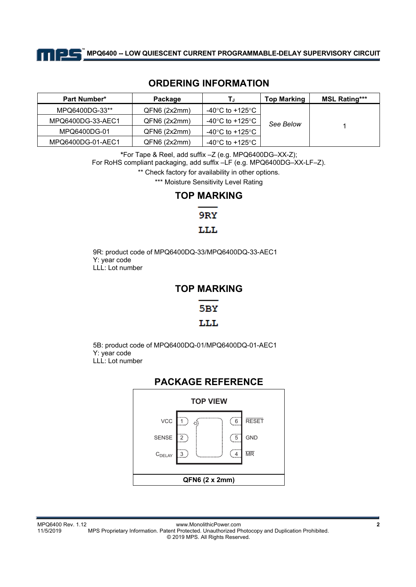

**MPQ6400 -- LOW QUIESCENT CURRENT PROGRAMMABLE-DELAY SUPERVISORY CIRCUIT TM**

## **ORDERING INFORMATION**

| <b>Part Number*</b> | Package      | ΤJ               | <b>Top Marking</b> | <b>MSL Rating***</b> |
|---------------------|--------------|------------------|--------------------|----------------------|
| MPQ6400DG-33**      | QFN6 (2x2mm) | -40°C to +125°C  |                    |                      |
| MPQ6400DG-33-AEC1   | QFN6 (2x2mm) | -40°C to +125°C  | See Below          |                      |
| MPQ6400DG-01        | QFN6 (2x2mm) | -40°C to +125°C  |                    |                      |
| MPQ6400DG-01-AEC1   | QFN6(2x2mm)  | -40°C to +125°C. |                    |                      |

**\***For Tape & Reel, add suffix –Z (e.g. MPQ6400DG–XX-Z);

For RoHS compliant packaging, add suffix –LF (e.g. MPQ6400DG–XX-LF–Z).

\*\* Check factory for availability in other options.

\*\*\* Moisture Sensitivity Level Rating

## **TOP MARKING**

9RY

#### LLL

9R: product code of MPQ6400DQ-33/MPQ6400DQ-33-AEC1 Y: year code LLL: Lot number

## **TOP MARKING**

## 5BY

### LLL

5B: product code of MPQ6400DQ-01/MPQ6400DQ-01-AEC1 Y: year code LLL: Lot number

| <b>PACKAGE REFERENCE</b> |   |                  |              |  |  |
|--------------------------|---|------------------|--------------|--|--|
| <b>TOP VIEW</b>          |   |                  |              |  |  |
| VCC                      |   | $6 \overline{6}$ | <b>RESET</b> |  |  |
| <b>SENSE</b>             |   | $\sqrt{5}$       | <b>GND</b>   |  |  |
| $C_{\text{DELAY}}$       | 3 | $\overline{4}$   | <b>MR</b>    |  |  |
|                          |   |                  |              |  |  |
| QFN6 (2 x 2mm)           |   |                  |              |  |  |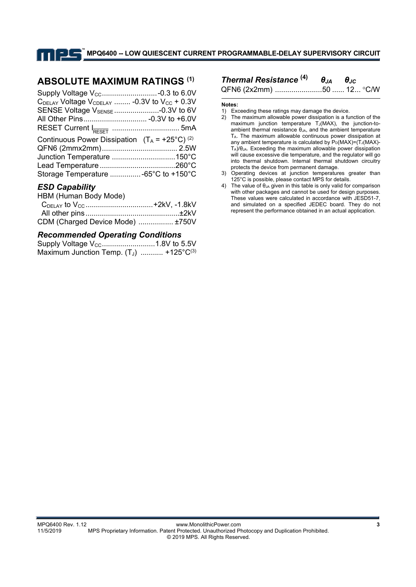## **ABSOLUTE MAXIMUM RATINGS (1)**

| $C_{\text{DELAY}}$ Voltage $V_{\text{CDELAY}}$ -0.3V to $V_{\text{CC}}$ + 0.3V |  |
|--------------------------------------------------------------------------------|--|
| SENSE Voltage V <sub>SENSE</sub> -0.3V to 6V                                   |  |
|                                                                                |  |
|                                                                                |  |
| Continuous Power Dissipation $(T_A = +25^{\circ}C)^{(2)}$                      |  |
|                                                                                |  |
|                                                                                |  |
|                                                                                |  |
| Storage Temperature  -65°C to +150°C                                           |  |
|                                                                                |  |

## *ESD Capability*

#### HBM (Human Body Mode)

| C <sub>DELAY</sub> to V <sub>CC</sub> +2kV, -1.8kV |  |
|----------------------------------------------------|--|
|                                                    |  |
| CDM (Charged Device Mode)  ±750V                   |  |

#### *Recommended Operating Conditions*

| Maximum Junction Temp. $(T_J)$ +125°C <sup>(3)</sup> |  |
|------------------------------------------------------|--|

## *Thermal Resistance* **(4)** *θJA θJC*

QFN6 (2x2mm) .......................50 ...... 12... °C/W

#### **Notes:**

- 1) Exceeding these ratings may damage the device.
- 2) The maximum allowable power dissipation is a function of the maximum junction temperature  $T_J(MAX)$ , the junction-toambient thermal resistance  $\theta_{JA}$ , and the ambient temperature TA. The maximum allowable continuous power dissipation at any ambient temperature is calculated by  $P_D(MAX)=(TJ(MAX)-TJ)(MAX)-TJ(MAX)$ TA)/θJA. Exceeding the maximum allowable power dissipation will cause excessive die temperature, and the regulator will go into thermal shutdown. Internal thermal shutdown circuitry protects the device from permanent damage.
- 3) Operating devices at junction temperatures greater than 125°C is possible, please contact MPS for details.
- 4) The value of  $\theta_{JA}$  given in this table is only valid for comparison with other packages and cannot be used for design purposes. These values were calculated in accordance with JESD51-7, and simulated on a specified JEDEC board. They do not represent the performance obtained in an actual application.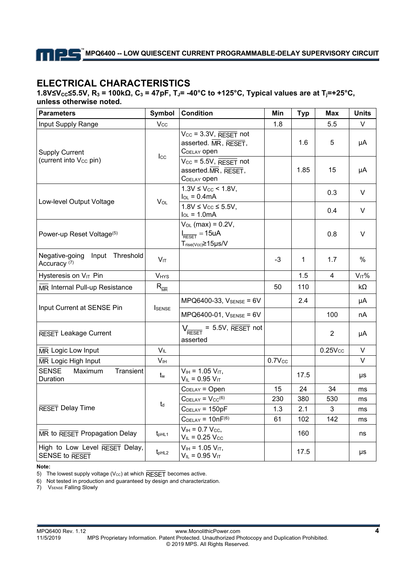# **ELECTRICAL CHARACTERISTICS**

**1.8V≤VCC≤5.5V, R3 = 100kΩ, C3 = 47pF, TJ= -40°C to +125°C, Typical values are at Tj=+25°C, unless otherwise noted.** 

| <b>Parameters</b>                                         | Symbol                     | <b>Condition</b>                                                                                 | Min         | <b>Typ</b>   | <b>Max</b>          | <b>Units</b> |
|-----------------------------------------------------------|----------------------------|--------------------------------------------------------------------------------------------------|-------------|--------------|---------------------|--------------|
| Input Supply Range                                        | Vcc                        |                                                                                                  | 1.8         |              | 5.5                 | V            |
| <b>Supply Current</b>                                     |                            | $V_{\text{CC}} = 3.3V$ , RESET not<br>asserted. MR, RESET,<br>C <sub>DELAY</sub> open            |             | 1.6          | 5                   | μA           |
| (current into V <sub>cc</sub> pin)                        | $_{\rm lcc}$               | $V_{CC}$ = 5.5V, RESET not<br>asserted.MR, RESET,<br>C <sub>DELAY</sub> open                     |             | 1.85         | 15                  | μA           |
| Low-level Output Voltage                                  | $V_{OL}$                   | $1.3V \leq V_{CC}$ < 1.8V,<br>$I_{OL} = 0.4mA$                                                   |             |              | 0.3                 | V            |
|                                                           |                            | $1.8V \leq V_{CC} \leq 5.5V$ ,<br>$I_{OL} = 1.0mA$                                               |             |              | 0.4                 | V            |
| Power-up Reset Voltage <sup>(5)</sup>                     |                            | $V_{OL}$ (max) = 0.2V,<br>$I_{\overline{\text{RESET}}} = 15uA$<br>$T_{rise(Vcc)} \ge 15 \mu s/V$ |             |              | 0.8                 | V            |
| Negative-going Input Threshold<br>Accuracy <sup>(7)</sup> | $V_{IT}$                   |                                                                                                  | $-3$        | $\mathbf{1}$ | 1.7                 | $\%$         |
| Hysteresis on VIT Pin                                     | VHYS                       |                                                                                                  |             | 1.5          | $\overline{4}$      | $V_{IT}$ %   |
| MR Internal Pull-up Resistance                            | $R_{\overline{\text{MR}}}$ |                                                                                                  | 50          | 110          |                     | $k\Omega$    |
| Input Current at SENSE Pin                                | <b>I</b> SENSE             | MPQ6400-33, VSENSE = 6V                                                                          |             | 2.4          |                     | μA           |
|                                                           |                            | MPQ6400-01, VSENSE = 6V                                                                          |             |              | 100                 | nA           |
| RESET Leakage Current                                     |                            | $V_{\overline{\text{RESET}}}$ = 5.5V, RESET not<br>asserted                                      |             |              | $\overline{2}$      | μA           |
| MR Logic Low Input                                        | <b>V<sub>IL</sub></b>      |                                                                                                  |             |              | 0.25V <sub>cc</sub> | $\vee$       |
| MR Logic High Input                                       | $\mathsf{V}_{\mathsf{IH}}$ |                                                                                                  | $0.7V_{CC}$ |              |                     | V            |
| <b>SENSE</b><br>Transient<br><b>Maximum</b><br>Duration   | tw                         | $V_{IH}$ = 1.05 $V_{IT}$ ,<br>$V_{IL} = 0.95 V_{IT}$                                             |             | 17.5         |                     | μs           |
|                                                           |                            | $CDELAY = Open$                                                                                  | 15          | 24           | 34                  | ms           |
|                                                           | $t_d$                      | $CDELAY = VCC(6)$                                                                                | 230         | 380          | 530                 | ms           |
| RESET Delay Time                                          |                            | $CDELAY = 150pF$                                                                                 | 1.3         | 2.1          | 3                   | ms           |
|                                                           |                            | $CDELAY = 10nF(6)$                                                                               | 61          | 102          | 142                 | ms           |
| MR to RESET Propagation Delay                             | $t_{pHL1}$                 | $V_{IH} = 0.7 V_{CC}$<br>$V_{IL}$ = 0.25 $V_{CC}$                                                |             | 160          |                     | ns           |
| High to Low Level RESET Delay,<br>SENSE to RESET          | $t_{pHL2}$                 | $V_{IH}$ = 1.05 $V_{IT}$ ,<br>$V_{IL} = 0.95 V_{IT}$                                             |             | 17.5         |                     | μs           |

**Note:** 

5) The lowest supply voltage ( $V_{\text{cc}}$ ) at which RESET becomes active.

6) Not tested in production and guaranteed by design and characterization.

7) VSENSE Falling Slowly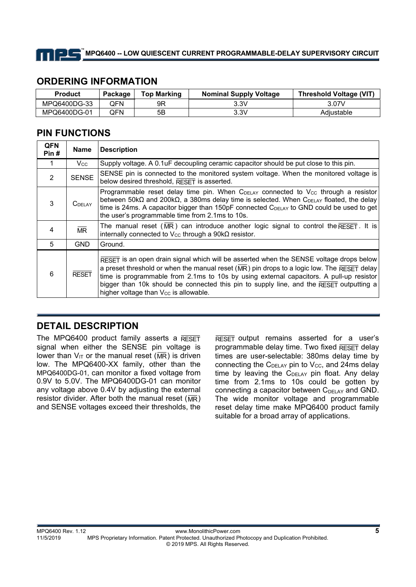

## **ORDERING INFORMATION**

| <b>Product</b> | Package  | <b>Top Marking</b> | <b>Nominal Supply Voltage</b> | Threshold Voltage (VIT) |
|----------------|----------|--------------------|-------------------------------|-------------------------|
| MPQ6400DG-33   | QFN.     | 9R                 | 3.3V                          | 3.07V                   |
| MPQ6400DG-01   | .<br>JFN | 5Β                 | 3.3V                          | Adiustable              |

## **PIN FUNCTIONS**

| <b>QFN</b><br>Pin# | <b>Name</b>            | <b>Description</b>                                                                                                                                                                                                                                                                                                                                                                                                                                         |
|--------------------|------------------------|------------------------------------------------------------------------------------------------------------------------------------------------------------------------------------------------------------------------------------------------------------------------------------------------------------------------------------------------------------------------------------------------------------------------------------------------------------|
|                    | Vcc.                   | Supply voltage. A 0.1uF decoupling ceramic capacitor should be put close to this pin.                                                                                                                                                                                                                                                                                                                                                                      |
| 2                  | <b>SENSE</b>           | SENSE pin is connected to the monitored system voltage. When the monitored voltage is<br>below desired threshold, RESET is asserted.                                                                                                                                                                                                                                                                                                                       |
| 3                  | <b>C</b> DELAY         | Programmable reset delay time pin. When C <sub>DELAY</sub> connected to V <sub>cc</sub> through a resistor<br>between $50 \text{k}\Omega$ and $200 \text{k}\Omega$ , a 380ms delay time is selected. When C <sub>DELAY</sub> floated, the delay<br>time is 24ms. A capacitor bigger than 150pF connected CDELAY to GND could be used to get<br>the user's programmable time from 2.1ms to 10s.                                                             |
| 4                  | $\overline{\text{MR}}$ | The manual reset (MR) can introduce another logic signal to control the $RESET$ . It is<br>internally connected to $V_{CC}$ through a $90k\Omega$ resistor.                                                                                                                                                                                                                                                                                                |
| 5                  | <b>GND</b>             | Ground.                                                                                                                                                                                                                                                                                                                                                                                                                                                    |
| 6                  | <b>RESET</b>           | $\overline{\text{RESET}}$ is an open drain signal which will be asserted when the SENSE voltage drops below<br>a preset threshold or when the manual reset ( $MR$ ) pin drops to a logic low. The RESET delay<br>time is programmable from 2.1ms to 10s by using external capacitors. A pull-up resistor<br>bigger than 10k should be connected this pin to supply line, and the $RESET$ outputting a<br>higher voltage than V <sub>cc</sub> is allowable. |

# **DETAIL DESCRIPTION**

The MPQ6400 product family asserts a  $RESET$ signal when either the SENSE pin voltage is lower than  $V_{IT}$  or the manual reset ( $\overline{MR}$ ) is driven low. The MPQ6400-XX family, other than the MPQ6400DG-01, can monitor a fixed voltage from 0.9V to 5.0V. The MPQ6400DG-01 can monitor any voltage above 0.4V by adjusting the external resistor divider. After both the manual reset ( $\overline{\mathsf{MR}}$ ) and SENSE voltages exceed their thresholds, the

 $R\overline{ESET}$  output remains asserted for a user's programmable delay time. Two fixed  $R\overline{\text{ESET}}$  delay times are user-selectable: 380ms delay time by connecting the  $C_{\text{DELAY}}$  pin to  $V_{\text{CC}}$ , and 24ms delay time by leaving the  $C_{\text{DELAY}}$  pin float. Any delay time from 2.1ms to 10s could be gotten by connecting a capacitor between C<sub>DELAY</sub> and GND. The wide monitor voltage and programmable reset delay time make MPQ6400 product family suitable for a broad array of applications.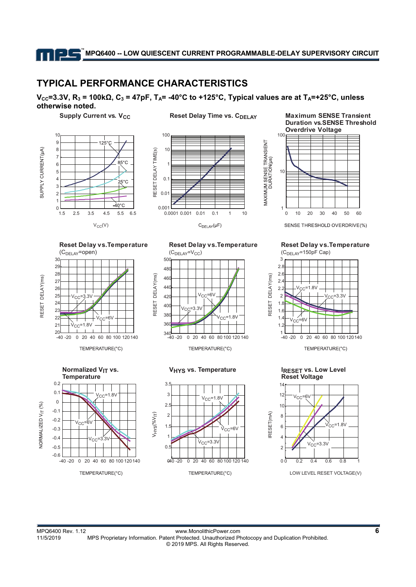## **TYPICAL PERFORMANCE CHARACTERISTICS**

#### $V<sub>CC</sub>=3.3V, R<sub>3</sub> = 100kΩ, C<sub>3</sub> = 47pF, T<sub>A</sub> = -40°C$  to +125°C, Typical values are at T<sub>A</sub>=+25°C, unless **otherwise noted.**

**Supply Current vs. V<sub>CC</sub> Reset Delay Time vs. C<sub>DELAY</sub>** 





#### **Maximum SENSE Transient Duration vs.SENSE Threshold Overdrive Voltage**



SENSE THRESHOLD OVERDRIVE(%)

**Reset Delay vs.Temperature**





TEMPERATURE(°C)



#### **VHYS vs. Temperature**







TEMPERATURE(°C)

**IRESET vs. Low Level Reset Voltage**





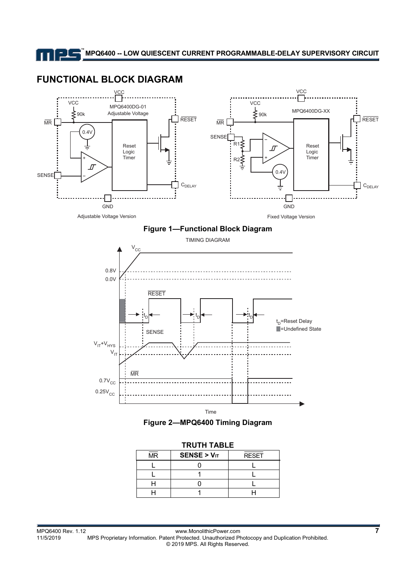



| INVIII IADLE     |                  |              |  |  |  |  |
|------------------|------------------|--------------|--|--|--|--|
| ___<br><b>MR</b> | $SENSE > V_{IT}$ | <b>RESET</b> |  |  |  |  |
|                  |                  |              |  |  |  |  |
|                  |                  |              |  |  |  |  |
|                  |                  |              |  |  |  |  |
|                  |                  |              |  |  |  |  |

#### **TRUTH TABLE**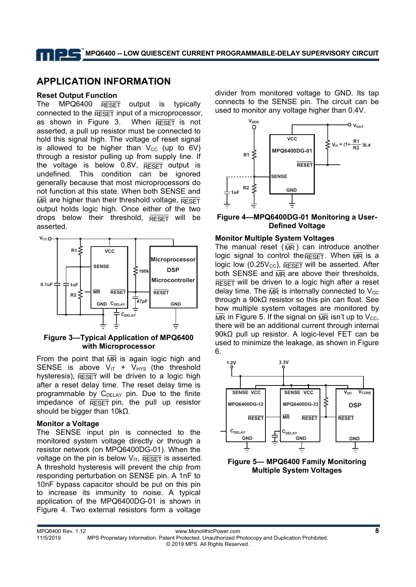# **APPLICATION INFORMATION**

#### **Reset Output Function**

The MPQ6400  $\overline{\text{R}\text{eset}}$  output is typically connected to the  $R\overline{ESET}$  input of a microprocessor, as shown in Figure 3. When  $R\overline{R}$  is not asserted, a pull up resistor must be connected to hold this signal high. The voltage of reset signal is allowed to be higher than  $V_{CC}$  (up to 6V) through a resistor pulling up from supply line. If the voltage is below  $0.8V$ ,  $RESET$  output is undefined. This condition can be ignored generally because that most microprocessors do not function at this state. When both SENSE and  $\overline{\text{MR}}$  are higher than their threshold voltage,  $\overline{\text{RESE}}$ output holds logic high. Once either of the two drops below their threshold,  $R$   $R$   $R$   $R$   $S$   $F$   $T$  will be asserted.



**Figure 3—Typical Application of MPQ6400 with Microprocessor** 

From the point that  $\overline{MR}$  is again logic high and SENSE is above  $V_{IT}$  +  $V_{HYS}$  (the threshold hysteresis),  $R\overline{\text{ESET}}$  will be driven to a logic high after a reset delay time. The reset delay time is programmable by C<sub>DELAY</sub> pin. Due to the finite impedance of  $R\overline{ESET}$  pin, the pull up resistor should be bigger than 10kΩ.

### **Monitor a Voltage**

The SENSE input pin is connected to the monitored system voltage directly or through a resistor network (on MPQ6400DG-01). When the voltage on the pin is below  $V_{IT}$ ,  $\overline{\text{REST}}$  is asserted. A threshold hysteresis will prevent the chip from responding perturbation on SENSE pin. A 1nF to 10nF bypass capacitor should be put on this pin to increase its immunity to noise. A typical application of the MPQ6400DG-01 is shown in Figure 4. Two external resistors form a voltage

divider from monitored voltage to GND. Its tap connects to the SENSE pin. The circuit can be used to monitor any voltage higher than 0.4V.



### **Figure 4—MPQ6400DG-01 Monitoring a User-Defined Voltage**

## **Monitor Multiple System Voltages**

The manual reset ( $\overline{MR}$ ) can introduce another logic signal to control the RESET. When  $\overline{MR}$  is a logic low (0.25 $V_{\text{CC}}$ ), RESET will be asserted. After both SENSE and  $\overline{MR}$  are above their thresholds,  $R\overline{ESET}$  will be driven to a logic high after a reset delay time. The  $\overline{\text{MR}}$  is internally connected to  $\text{V}_\text{CC}$ through a 90kΩ resistor so this pin can float. See how multiple system voltages are monitored by  $\overline{\text{MR}}$  in Figure 5. If the signal on  $\overline{\text{MR}}$  isn't up to V<sub>cc</sub>, there will be an additional current through internal 90kΩ pull up resistor. A logic-level FET can be used to minimize the leakage, as shown in Figure 6.



**Figure 5— MPQ6400 Family Monitoring Multiple System Voltages**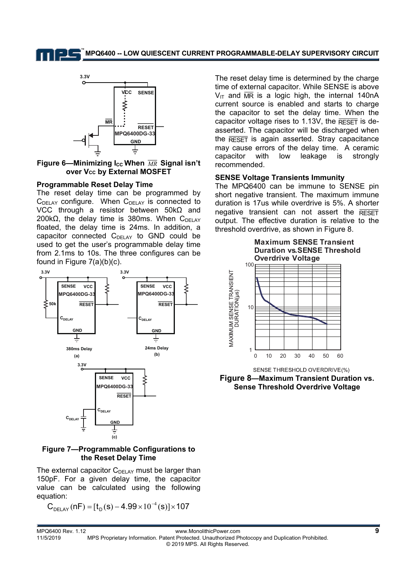**MPQ6400 -- LOW QUIESCENT CURRENT PROGRAMMABLE-DELAY SUPERVISORY CIRCUIT TM**



Figure 6—Minimizing I<sub>cc</sub> When  $\overline{MR}$  Signal isn't **over Vcc by External MOSFET** 

#### **Programmable Reset Delay Time**

The reset delay time can be programmed by  $C<sub>DELAY</sub>$  configure. When  $C<sub>DELAY</sub>$  is connected to VCC through a resistor between 50kΩ and 200kΩ, the delay time is 380ms. When  $C<sub>DEI AY</sub>$ floated, the delay time is 24ms. In addition, a capacitor connected  $C_{DELAY}$  to GND could be used to get the user's programmable delay time from 2.1ms to 10s. The three configures can be found in Figure 7(a)(b)(c).



#### **Figure 7—Programmable Configurations to the Reset Delay Time**

The external capacitor  $C_{\text{DELAY}}$  must be larger than 150pF. For a given delay time, the capacitor value can be calculated using the following equation:

$$
C_{\text{DELAY}}(nF) = [t_{D}(s) - 4.99 \times 10^{-4}(s)] \times 107
$$

The reset delay time is determined by the charge time of external capacitor. While SENSE is above  $V_{IT}$  and  $\overline{MR}$  is a logic high, the internal 140nA current source is enabled and starts to charge the capacitor to set the delay time. When the capacitor voltage rises to 1.13V, the  $R\overline{\text{ESET}}$  is deasserted. The capacitor will be discharged when the  $R\overline{\text{ESET}}$  is again asserted. Stray capacitance may cause errors of the delay time. A ceramic capacitor with low leakage is strongly recommended.

#### **SENSE Voltage Transients Immunity**

The MPQ6400 can be immune to SENSE pin short negative transient. The maximum immune duration is 17us while overdrive is 5%. A shorter negative transient can not assert the  $R$ FSFT output. The effective duration is relative to the threshold overdrive, as shown in Figure 8.



SENSE THRESHOLD OVERDRIVE(%)

**Figure 8—Maximum Transient Duration vs. Sense Threshold Overdrive Voltage**

MPQ6400 Rev. 1.12 www.MonolithicPower.com **9** 11/5/2019 MPS Proprietary Information. Patent Protected. Unauthorized Photocopy and Duplication Prohibited. © 2019 MPS. All Rights Reserved.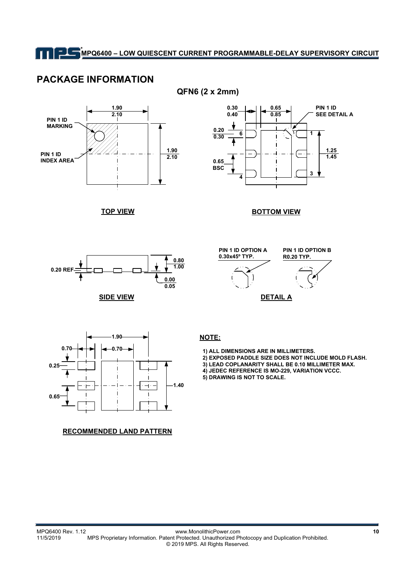## **PACKAGE INFORMATION**



**QFN6 (2 x 2mm)** 



#### **BOTTOM VIEW**



**TOP VIEW**

**SIDE VIEW**





#### **RECOMMENDED LAND PATTERN**

 **1) ALL DIMENSIONS ARE IN MILLIMETERS.**

 **2) EXPOSED PADDLE SIZE DOES NOT INCLUDE MOLD FLASH. 3) LEAD COPLANARITY SHALL BE 0.10 MILLIMETER MAX.**

- **4) JEDEC REFERENCE IS MO-229, VARIATION VCCC.**
- **5) DRAWING IS NOT TO SCALE.**